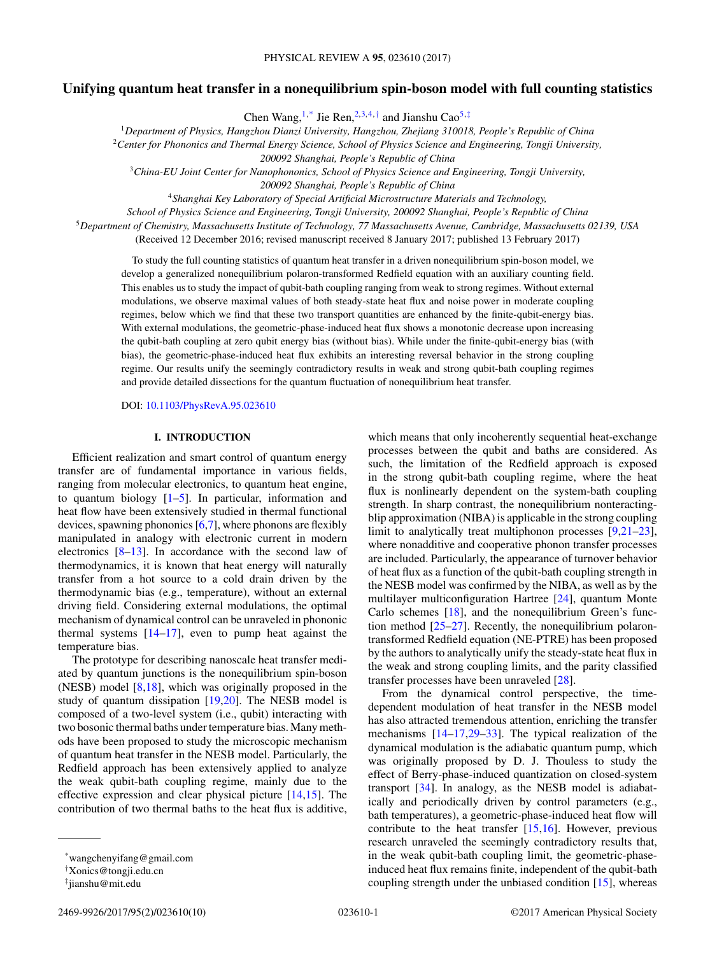## **Unifying quantum heat transfer in a nonequilibrium spin-boson model with full counting statistics**

Chen Wang,<sup>1,\*</sup> Jie Ren,<sup>2,3,4,†</sup> and Jianshu Cao<sup>5,‡</sup>

<sup>1</sup>*Department of Physics, Hangzhou Dianzi University, Hangzhou, Zhejiang 310018, People's Republic of China*

<sup>2</sup>*Center for Phononics and Thermal Energy Science, School of Physics Science and Engineering, Tongji University,*

*200092 Shanghai, People's Republic of China*

<sup>3</sup>*China-EU Joint Center for Nanophononics, School of Physics Science and Engineering, Tongji University,*

*200092 Shanghai, People's Republic of China*

<sup>4</sup>*Shanghai Key Laboratory of Special Artificial Microstructure Materials and Technology,*

*School of Physics Science and Engineering, Tongji University, 200092 Shanghai, People's Republic of China*

<sup>5</sup>*Department of Chemistry, Massachusetts Institute of Technology, 77 Massachusetts Avenue, Cambridge, Massachusetts 02139, USA*

(Received 12 December 2016; revised manuscript received 8 January 2017; published 13 February 2017)

To study the full counting statistics of quantum heat transfer in a driven nonequilibrium spin-boson model, we develop a generalized nonequilibrium polaron-transformed Redfield equation with an auxiliary counting field. This enables us to study the impact of qubit-bath coupling ranging from weak to strong regimes. Without external modulations, we observe maximal values of both steady-state heat flux and noise power in moderate coupling regimes, below which we find that these two transport quantities are enhanced by the finite-qubit-energy bias. With external modulations, the geometric-phase-induced heat flux shows a monotonic decrease upon increasing the qubit-bath coupling at zero qubit energy bias (without bias). While under the finite-qubit-energy bias (with bias), the geometric-phase-induced heat flux exhibits an interesting reversal behavior in the strong coupling regime. Our results unify the seemingly contradictory results in weak and strong qubit-bath coupling regimes and provide detailed dissections for the quantum fluctuation of nonequilibrium heat transfer.

DOI: [10.1103/PhysRevA.95.023610](https://doi.org/10.1103/PhysRevA.95.023610)

## **I. INTRODUCTION**

Efficient realization and smart control of quantum energy transfer are of fundamental importance in various fields, ranging from molecular electronics, to quantum heat engine, to quantum biology  $[1–5]$ . In particular, information and heat flow have been extensively studied in thermal functional devices, spawning phononics  $[6,7]$ , where phonons are flexibly manipulated in analogy with electronic current in modern electronics  $[8-13]$ . In accordance with the second law of thermodynamics, it is known that heat energy will naturally transfer from a hot source to a cold drain driven by the thermodynamic bias (e.g., temperature), without an external driving field. Considering external modulations, the optimal mechanism of dynamical control can be unraveled in phononic thermal systems  $[14–17]$ , even to pump heat against the temperature bias.

The prototype for describing nanoscale heat transfer mediated by quantum junctions is the nonequilibrium spin-boson (NESB) model [\[8,18\]](#page-8-0), which was originally proposed in the study of quantum dissipation [\[19,20\]](#page-8-0). The NESB model is composed of a two-level system (i.e., qubit) interacting with two bosonic thermal baths under temperature bias. Many methods have been proposed to study the microscopic mechanism of quantum heat transfer in the NESB model. Particularly, the Redfield approach has been extensively applied to analyze the weak qubit-bath coupling regime, mainly due to the effective expression and clear physical picture [\[14,15\]](#page-8-0). The contribution of two thermal baths to the heat flux is additive,

which means that only incoherently sequential heat-exchange processes between the qubit and baths are considered. As such, the limitation of the Redfield approach is exposed in the strong qubit-bath coupling regime, where the heat flux is nonlinearly dependent on the system-bath coupling strength. In sharp contrast, the nonequilibrium nonteractingblip approximation (NIBA) is applicable in the strong coupling limit to analytically treat multiphonon processes [\[9,21–](#page-8-0)[23\]](#page-9-0), where nonadditive and cooperative phonon transfer processes are included. Particularly, the appearance of turnover behavior of heat flux as a function of the qubit-bath coupling strength in the NESB model was confirmed by the NIBA, as well as by the multilayer multiconfiguration Hartree [\[24\]](#page-9-0), quantum Monte Carlo schemes [\[18\]](#page-8-0), and the nonequilibrium Green's function method [\[25–27\]](#page-9-0). Recently, the nonequilibrium polarontransformed Redfield equation (NE-PTRE) has been proposed by the authors to analytically unify the steady-state heat flux in the weak and strong coupling limits, and the parity classified transfer processes have been unraveled [\[28\]](#page-9-0).

From the dynamical control perspective, the timedependent modulation of heat transfer in the NESB model has also attracted tremendous attention, enriching the transfer mechanisms [\[14–17,](#page-8-0)[29–33\]](#page-9-0). The typical realization of the dynamical modulation is the adiabatic quantum pump, which was originally proposed by D. J. Thouless to study the effect of Berry-phase-induced quantization on closed-system transport [\[34\]](#page-9-0). In analogy, as the NESB model is adiabatically and periodically driven by control parameters (e.g., bath temperatures), a geometric-phase-induced heat flow will contribute to the heat transfer [\[15,16\]](#page-8-0). However, previous research unraveled the seemingly contradictory results that, in the weak qubit-bath coupling limit, the geometric-phaseinduced heat flux remains finite, independent of the qubit-bath coupling strength under the unbiased condition [\[15\]](#page-8-0), whereas

<sup>\*</sup>wangchenyifang@gmail.com

<sup>†</sup> Xonics@tongji.edu.cn

<sup>‡</sup> jianshu@mit.edu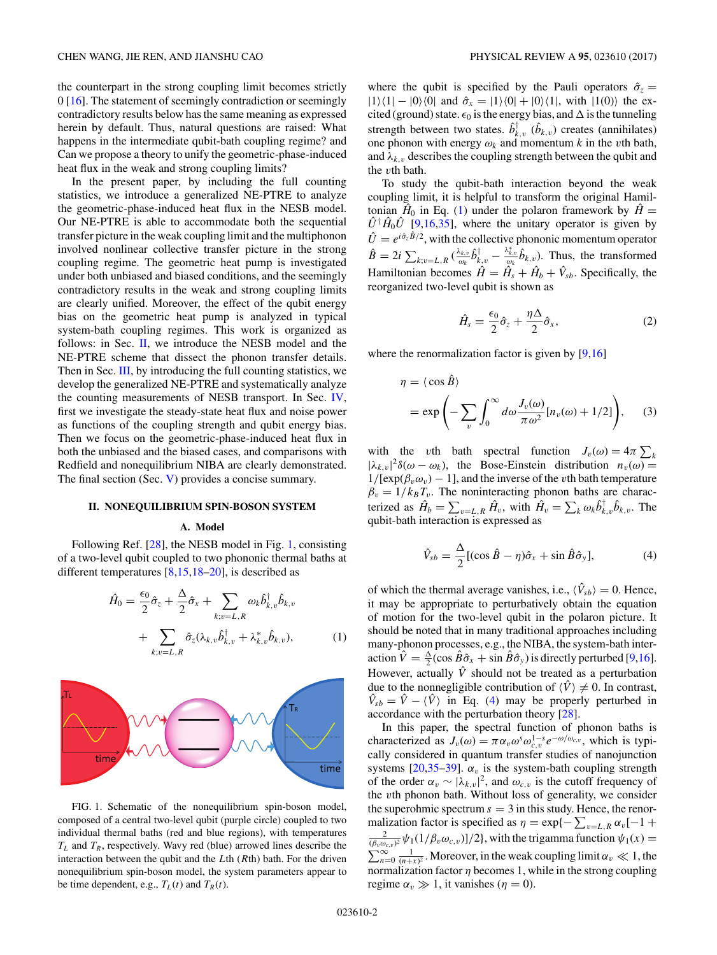<span id="page-1-0"></span>the counterpart in the strong coupling limit becomes strictly 0 [\[16\]](#page-8-0). The statement of seemingly contradiction or seemingly contradictory results below has the same meaning as expressed herein by default. Thus, natural questions are raised: What happens in the intermediate qubit-bath coupling regime? and Can we propose a theory to unify the geometric-phase-induced heat flux in the weak and strong coupling limits?

In the present paper, by including the full counting statistics, we introduce a generalized NE-PTRE to analyze the geometric-phase-induced heat flux in the NESB model. Our NE-PTRE is able to accommodate both the sequential transfer picture in the weak coupling limit and the multiphonon involved nonlinear collective transfer picture in the strong coupling regime. The geometric heat pump is investigated under both unbiased and biased conditions, and the seemingly contradictory results in the weak and strong coupling limits are clearly unified. Moreover, the effect of the qubit energy bias on the geometric heat pump is analyzed in typical system-bath coupling regimes. This work is organized as follows: in Sec. II, we introduce the NESB model and the NE-PTRE scheme that dissect the phonon transfer details. Then in Sec. [III,](#page-2-0) by introducing the full counting statistics, we develop the generalized NE-PTRE and systematically analyze the counting measurements of NESB transport. In Sec. [IV,](#page-3-0) first we investigate the steady-state heat flux and noise power as functions of the coupling strength and qubit energy bias. Then we focus on the geometric-phase-induced heat flux in both the unbiased and the biased cases, and comparisons with Redfield and nonequilibrium NIBA are clearly demonstrated. The final section (Sec. [V\)](#page-7-0) provides a concise summary.

### **II. NONEQUILIBRIUM SPIN-BOSON SYSTEM**

#### **A. Model**

Following Ref. [\[28\]](#page-9-0), the NESB model in Fig. 1, consisting of a two-level qubit coupled to two phononic thermal baths at different temperatures [\[8,15,18–20\]](#page-8-0), is described as

$$
\hat{H}_0 = \frac{\epsilon_0}{2} \hat{\sigma}_z + \frac{\Delta}{2} \hat{\sigma}_x + \sum_{k; v=L, R} \omega_k \hat{b}_{k, v}^\dagger \hat{b}_{k, v} \n+ \sum_{k; v=L, R} \hat{\sigma}_z (\lambda_{k, v} \hat{b}_{k, v}^\dagger + \lambda_{k, v}^* \hat{b}_{k, v}),
$$
\n(1)



FIG. 1. Schematic of the nonequilibrium spin-boson model, composed of a central two-level qubit (purple circle) coupled to two individual thermal baths (red and blue regions), with temperatures *TL* and *TR*, respectively. Wavy red (blue) arrowed lines describe the interaction between the qubit and the *L*th (*R*th) bath. For the driven nonequilibrium spin-boson model, the system parameters appear to be time dependent, e.g.,  $T_L(t)$  and  $T_R(t)$ .

where the qubit is specified by the Pauli operators  $\hat{\sigma}_z =$  $|1\rangle\langle 1| - |0\rangle\langle 0|$  and  $\hat{\sigma}_x = |1\rangle\langle 0| + |0\rangle\langle 1|$ , with  $|1(0)\rangle$  the excited (ground) state.  $\epsilon_0$  is the energy bias, and  $\Delta$  is the tunneling strength between two states.  $\hat{b}_{k,v}^{\dagger}$  ( $\hat{b}_{k,v}$ ) creates (annihilates) one phonon with energy  $\omega_k$  and momentum *k* in the *v*th bath, and  $\lambda_{k,v}$  describes the coupling strength between the qubit and the *v*th bath.

To study the qubit-bath interaction beyond the weak coupling limit, it is helpful to transform the original Hamiltonian  $\hat{H}_0$  in Eq. (1) under the polaron framework by  $\hat{H} =$  $\hat{U}^{\dagger} \hat{H}_0 \hat{U}$  [\[9,16,](#page-8-0)[35\]](#page-9-0), where the unitary operator is given by  $\hat{U} = e^{i\hat{\sigma}_z \hat{B}/2}$ , with the collective phononic momentum operator  $\hat{B} = 2i \sum_{k; v=L, R} (\frac{\lambda_{k,v}}{\omega_k} \hat{b}_{k,v}^{\dagger} - \frac{\lambda_{k,v}^{*}}{\omega_k} \hat{b}_{k,v}).$  Thus, the transformed Hamiltonian becomes  $\hat{H} = \hat{H}_s + \hat{H}_b + \hat{V}_{sb}$ . Specifically, the reorganized two-level qubit is shown as

$$
\hat{H}_s = \frac{\epsilon_0}{2}\hat{\sigma}_z + \frac{\eta \Delta}{2}\hat{\sigma}_x,\tag{2}
$$

where the renormalization factor is given by [\[9,16\]](#page-8-0)

$$
\eta = \langle \cos \hat{B} \rangle
$$
  
=  $\exp \left(-\sum_{v} \int_{0}^{\infty} d\omega \frac{J_{v}(\omega)}{\pi \omega^{2}} [n_{v}(\omega) + 1/2] \right),$  (3)

with the *v*th bath spectral function  $J_v(\omega) = 4\pi \sum_k$  $|\lambda_{k,v}|^2 \delta(\omega - \omega_k)$ , the Bose-Einstein distribution  $n_v(\omega) =$  $1/[\exp(\beta_v \omega_v) - 1]$ , and the inverse of the *v*th bath temperature  $\beta_v = 1/k_B T_v$ . The noninteracting phonon baths are characterized as  $\hat{H}_b = \sum_{v=L,R} \hat{H}_v$ , with  $\hat{H}_v = \sum_k \omega_k \hat{b}_{k,v}^{\dagger} \hat{b}_{k,v}$ . The qubit-bath interaction is expressed as

$$
\hat{V}_{sb} = \frac{\Delta}{2} [(\cos \hat{B} - \eta)\hat{\sigma}_x + \sin \hat{B}\hat{\sigma}_y], \tag{4}
$$

of which the thermal average vanishes, i.e.,  $\langle \hat{V}_{sb} \rangle = 0$ . Hence, it may be appropriate to perturbatively obtain the equation of motion for the two-level qubit in the polaron picture. It should be noted that in many traditional approaches including many-phonon processes, e.g., the NIBA, the system-bath interaction  $\hat{V} = \frac{\Delta}{2} (\cos \hat{B} \hat{\sigma}_x + \sin \hat{B} \hat{\sigma}_y)$  is directly perturbed [\[9,16\]](#page-8-0). However, actually  $\hat{V}$  should not be treated as a perturbation due to the nonnegligible contribution of  $\langle \hat{V} \rangle \neq 0$ . In contrast,  $\hat{V}_{sb} = \hat{V} - \langle \hat{V} \rangle$  in Eq. (4) may be properly perturbed in accordance with the perturbation theory [\[28\]](#page-9-0).

In this paper, the spectral function of phonon baths is characterized as  $J_v(\omega) = \pi \alpha_v \omega^s \omega_{c,v}^{1-s} e^{-\omega/\omega_{c,v}}$ , which is typically considered in quantum transfer studies of nanojunction systems [ $20,35-39$ ].  $\alpha_v$  is the system-bath coupling strength of the order  $\alpha_v \sim |\lambda_{k,v}|^2$ , and  $\omega_{c,v}$  is the cutoff frequency of the *v*th phonon bath. Without loss of generality, we consider the superohmic spectrum  $s = 3$  in this study. Hence, the renormalization factor is specified as  $\eta = \exp\{-\sum_{v=L,R} \alpha_v[-1 + \alpha]$  $\frac{2}{(\beta_v \omega_{c,v})^2} \psi_1(1/\beta_v \omega_{c,v})$ ]/2}, with the trigamma function  $\psi_1(x) =$  $\sum_{n=0}^{\infty} \frac{1}{(n+x)^2}$ . Moreover, in the weak coupling limit  $\alpha_v \ll 1$ , the normalization factor  $\eta$  becomes 1, while in the strong coupling regime  $\alpha_v \gg 1$ , it vanishes ( $\eta = 0$ ).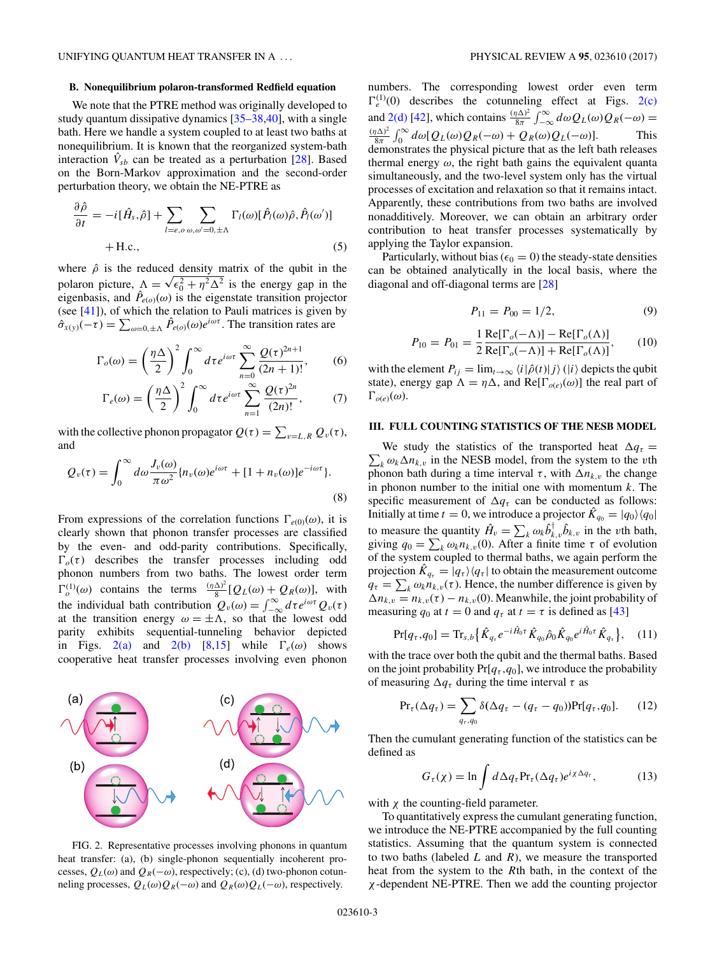#### <span id="page-2-0"></span>**B. Nonequilibrium polaron-transformed Redfield equation**

We note that the PTRE method was originally developed to study quantum dissipative dynamics [\[35–38,40\]](#page-9-0), with a single bath. Here we handle a system coupled to at least two baths at nonequilibrium. It is known that the reorganized system-bath interaction  $\hat{V}_{sb}$  can be treated as a perturbation [\[28\]](#page-9-0). Based on the Born-Markov approximation and the second-order perturbation theory, we obtain the NE-PTRE as

$$
\frac{\partial \hat{\rho}}{\partial t} = -i[\hat{H}_s, \hat{\rho}] + \sum_{l=e, o, \omega, \omega'=0, \pm \Lambda} \Gamma_l(\omega) [\hat{P}_l(\omega) \hat{\rho}, \hat{P}_l(\omega')]
$$
  
+ H.c., (5)

where  $\hat{\rho}$  is the reduced density matrix of the qubit in the where  $\rho$  is the reduced density matrix of the qubit in the polaron picture,  $\Lambda = \sqrt{\epsilon_0^2 + \eta^2 \Delta^2}$  is the energy gap in the eigenbasis, and  $\hat{P}_{e(0)}(\omega)$  is the eigenstate transition projector (see [\[41\]](#page-9-0)), of which the relation to Pauli matrices is given by  $\hat{\sigma}_{x(y)}(-\tau) = \sum_{\omega=0,\pm\Lambda} \hat{P}_{e(\omega)}(\omega) e^{i\omega\tau}$ . The transition rates are

$$
\Gamma_o(\omega) = \left(\frac{\eta \Delta}{2}\right)^2 \int_0^\infty d\tau e^{i\omega \tau} \sum_{n=0}^\infty \frac{Q(\tau)^{2n+1}}{(2n+1)!},\tag{6}
$$

$$
\Gamma_e(\omega) = \left(\frac{\eta \Delta}{2}\right)^2 \int_0^\infty d\tau e^{i\omega \tau} \sum_{n=1}^\infty \frac{Q(\tau)^{2n}}{(2n)!},\tag{7}
$$

with the collective phonon propagator  $Q(\tau) = \sum_{v=L,R} Q_v(\tau)$ , and

$$
Q_v(\tau) = \int_0^\infty d\omega \frac{J_v(\omega)}{\pi \omega^2} \{n_v(\omega)e^{i\omega \tau} + [1 + n_v(\omega)]e^{-i\omega \tau}\}.
$$
\n(8)

From expressions of the correlation functions  $\Gamma_{e(0)}(\omega)$ , it is clearly shown that phonon transfer processes are classified by the even- and odd-parity contributions. Specifically,  $\Gamma_o(\tau)$  describes the transfer processes including odd phonon numbers from two baths. The lowest order term  $\Gamma_o^{(1)}(\omega)$  contains the terms  $\frac{(\eta \Delta)^2}{8} [Q_L(\omega) + Q_R(\omega)]$ , with the individual bath contribution  $Q_v(\omega) = \int_{-\infty}^{\infty} d\tau e^{i\omega \tau} Q_v(\tau)$ at the transition energy  $\omega = \pm \Lambda$ , so that the lowest odd parity exhibits sequential-tunneling behavior depicted in Figs. 2(a) and 2(b) [\[8,15\]](#page-8-0) while  $\Gamma_e(\omega)$  shows cooperative heat transfer processes involving even phonon



FIG. 2. Representative processes involving phonons in quantum heat transfer: (a), (b) single-phonon sequentially incoherent processes,  $Q_L(\omega)$  and  $Q_R(-\omega)$ , respectively; (c), (d) two-phonon cotunneling processes,  $Q_L(\omega)Q_R(-\omega)$  and  $Q_R(\omega)Q_L(-\omega)$ , respectively.

numbers. The corresponding lowest order even term  $\Gamma_e^{(1)}(0)$  describes the cotunneling effect at Figs. 2(c) and 2(d) [\[42\]](#page-9-0), which contains  $\frac{(\eta \Delta)^2}{8\pi}$  $\int_{8\pi}^{1/\Delta} \int_{-\infty}^{\infty} d\omega Q_L(\omega) Q_R(-\omega) =$  $(ηΔ)<sup>2</sup>$  $\frac{d\Delta^2}{8\pi} \int_0^\infty d\omega [Q_L(\omega)Q_R(-\omega) + Q_R(\omega)Q_L(-\omega)].$  This demonstrates the physical picture that as the left bath releases thermal energy  $\omega$ , the right bath gains the equivalent quanta simultaneously, and the two-level system only has the virtual processes of excitation and relaxation so that it remains intact. Apparently, these contributions from two baths are involved nonadditively. Moreover, we can obtain an arbitrary order contribution to heat transfer processes systematically by applying the Taylor expansion.

Particularly, without bias  $(\epsilon_0 = 0)$  the steady-state densities can be obtained analytically in the local basis, where the diagonal and off-diagonal terms are [\[28\]](#page-9-0)

$$
P_{11} = P_{00} = 1/2, \tag{9}
$$

$$
P_{10} = P_{01} = \frac{1}{2} \frac{\text{Re}[\Gamma_o(-\Lambda)] - \text{Re}[\Gamma_o(\Lambda)]}{\text{Re}[\Gamma_o(-\Lambda)] + \text{Re}[\Gamma_o(\Lambda)]},\tag{10}
$$

with the element  $P_{ij} = \lim_{t \to \infty} \langle i | \hat{\rho}(t) | j \rangle$  ( $|i \rangle$  depicts the qubit state), energy gap  $\Lambda = \eta \Delta$ , and Re[ $\Gamma_{o(e)}(\omega)$ ] the real part of  $\Gamma_{o(e)}(\omega)$ .

## **III. FULL COUNTING STATISTICS OF THE NESB MODEL**

 $\sum_{k} \omega_k \Delta n_{k,v}$  in the NESB model, from the system to the *v*th We study the statistics of the transported heat  $\Delta q_{\tau} =$ phonon bath during a time interval  $\tau$ , with  $\Delta n_{k,v}$  the change in phonon number to the initial one with momentum *k*. The specific measurement of  $\Delta q_{\tau}$  can be conducted as follows: Initially at time  $t = 0$ , we introduce a projector  $\hat{K}_{q_0} = |q_0\rangle\langle q_0|$ to measure the quantity  $\hat{H}_v = \sum_k \omega_k \hat{b}_{k,v}^\dagger \hat{b}_{k,v}$  in the *v*th bath, giving  $q_0 = \sum_k \omega_k n_{k,v}(0)$ . After a finite time  $\tau$  of evolution of the system coupled to thermal baths, we again perform the projection  $\hat{K}_{q_{\tau}} = |q_{\tau}\rangle\langle q_{\tau}|$  to obtain the measurement outcome  $q_{\tau} = \sum_{k} \omega_{k} n_{k,v}(\tau)$ . Hence, the number difference is given by  $\Delta n_{k,v} = n_{k,v}(\tau) - n_{k,v}(0)$ . Meanwhile, the joint probability of measuring  $q_0$  at  $t = 0$  and  $q_\tau$  at  $t = \tau$  is defined as [\[43\]](#page-9-0)

$$
Pr[q_{\tau}, q_0] = Tr_{s,b} \{ \hat{K}_{q_{\tau}} e^{-i\hat{H}_0 \tau} \hat{K}_{q_0} \hat{\rho}_0 \hat{K}_{q_0} e^{i\hat{H}_0 \tau} \hat{K}_{q_{\tau}} \}, \quad (11)
$$

with the trace over both the qubit and the thermal baths. Based on the joint probability  $Pr[q_\tau, q_0]$ , we introduce the probability of measuring  $\Delta q_{\tau}$  during the time interval  $\tau$  as

$$
Pr_{\tau}(\Delta q_{\tau}) = \sum_{q_{\tau}, q_0} \delta(\Delta q_{\tau} - (q_{\tau} - q_0)) Pr[q_{\tau}, q_0]. \tag{12}
$$

Then the cumulant generating function of the statistics can be defined as

$$
G_{\tau}(\chi) = \ln \int d\Delta q_{\tau} \Pr_{\tau}(\Delta q_{\tau}) e^{i\chi \Delta q_{\tau}}, \qquad (13)
$$

with  $\chi$  the counting-field parameter.

To quantitatively express the cumulant generating function, we introduce the NE-PTRE accompanied by the full counting statistics. Assuming that the quantum system is connected to two baths (labeled *L* and *R*), we measure the transported heat from the system to the *R*th bath, in the context of the *χ*-dependent NE-PTRE. Then we add the counting projector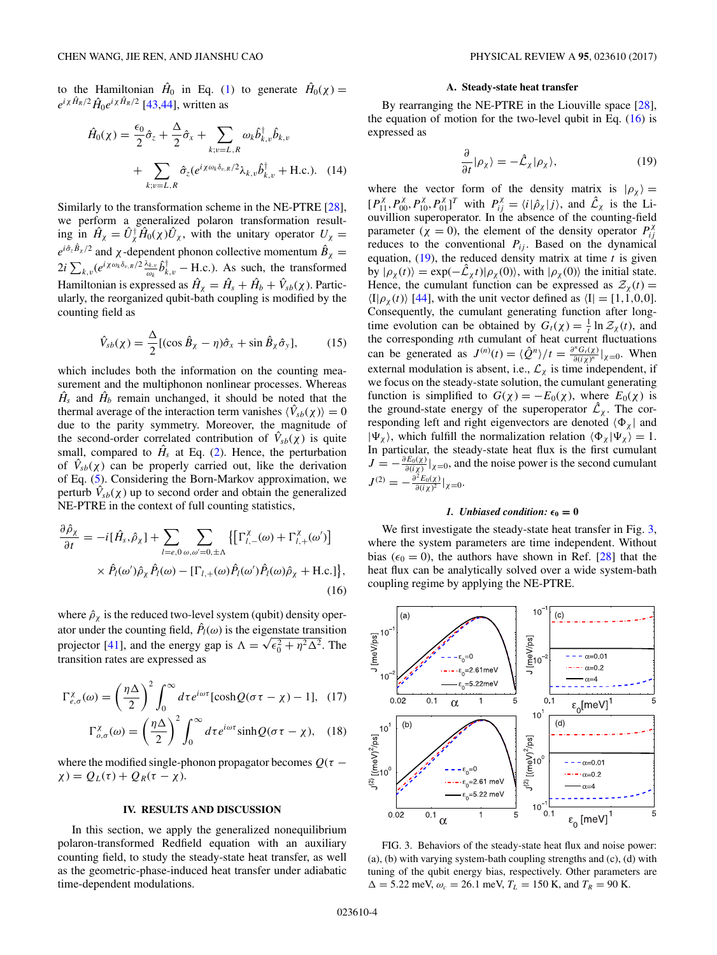<span id="page-3-0"></span>to the Hamiltonian  $\hat{H}_0$  in Eq. [\(1\)](#page-1-0) to generate  $\hat{H}_0(\chi)$  =  $e^{i \chi \hat{H}_R/2} \hat{H}_0 e^{i \chi \hat{H}_R/2}$  [\[43,44\]](#page-9-0), written as

$$
\hat{H}_0(\chi) = \frac{\epsilon_0}{2}\hat{\sigma}_z + \frac{\Delta}{2}\hat{\sigma}_x + \sum_{k; v=L, R} \omega_k \hat{b}_{k, v}^\dagger \hat{b}_{k, v} \n+ \sum_{k; v=L, R} \hat{\sigma}_z (e^{i\chi \omega_k \hat{\delta}_{v, R}/2} \lambda_{k, v} \hat{b}_{k, v}^\dagger + \text{H.c.}).
$$
\n(14)

Similarly to the transformation scheme in the NE-PTRE [\[28\]](#page-9-0), we perform a generalized polaron transformation resulting in  $\hat{H}_\chi = \hat{U}_\chi^\dagger \hat{H}_0(\chi) \hat{U}_\chi$ , with the unitary operator  $U_\chi =$  $e^{i\hat{\sigma}_z \hat{B}_\chi/2}$  and  $\chi$ -dependent phonon collective momentum  $\hat{B}_\chi$  =  $2i \sum_{k,v} (e^{i \chi \omega_k \delta_{v,R}/2} \frac{\lambda_{k,v}}{\omega_k} \hat{b}_{k,v}^{\dagger} - \text{H.c.})$ . As such, the transformed Hamiltonian is expressed as  $\hat{H}_{\chi} = \hat{H}_{s} + \hat{H}_{b} + \hat{V}_{sb}(\chi)$ . Particularly, the reorganized qubit-bath coupling is modified by the counting field as

$$
\hat{V}_{sb}(\chi) = \frac{\Delta}{2} [(\cos \hat{B}_{\chi} - \eta)\hat{\sigma}_x + \sin \hat{B}_{\chi}\hat{\sigma}_y], \quad (15)
$$

which includes both the information on the counting measurement and the multiphonon nonlinear processes. Whereas  $\hat{H}_s$  and  $\hat{H}_b$  remain unchanged, it should be noted that the thermal average of the interaction term vanishes  $\langle \hat{V}_{sb}(\chi) \rangle = 0$ due to the parity symmetry. Moreover, the magnitude of the second-order correlated contribution of  $\hat{V}_{sb}(\chi)$  is quite small, compared to  $\hat{H}_s$  at Eq. [\(2\)](#page-1-0). Hence, the perturbation of  $\hat{V}_{sb}(\chi)$  can be properly carried out, like the derivation of Eq. [\(5\)](#page-2-0). Considering the Born-Markov approximation, we perturb  $\hat{V}_{sb}(\chi)$  up to second order and obtain the generalized NE-PTRE in the context of full counting statistics,

$$
\frac{\partial \hat{\rho}_{\chi}}{\partial t} = -i[\hat{H}_s, \hat{\rho}_{\chi}] + \sum_{l=e, 0} \sum_{\omega, \omega'=0, \pm \Lambda} \{ \left[ \Gamma_{l,-}^{\chi}(\omega) + \Gamma_{l,+}^{\chi}(\omega') \right] \times \hat{P}_l(\omega') \hat{\rho}_{\chi} \hat{P}_l(\omega) - \left[ \Gamma_{l,+}(\omega) \hat{P}_l(\omega') \hat{P}_l(\omega) \hat{\rho}_{\chi} + \text{H.c.} \right] \},
$$
\n(16)

where  $\hat{\rho}_\chi$  is the reduced two-level system (qubit) density operator under the counting field,  $\hat{P}_l(\omega)$  is the eigenstate transition ator under the counting field,  $P_l(\omega)$  is the eigenstate transition<br>projector [\[41\]](#page-9-0), and the energy gap is  $\Lambda = \sqrt{\epsilon_0^2 + \eta^2 \Delta^2}$ . The transition rates are expressed as

$$
\Gamma_{e,\sigma}^{\chi}(\omega) = \left(\frac{\eta \Delta}{2}\right)^2 \int_0^{\infty} d\tau e^{i\omega \tau} [\cosh Q(\sigma \tau - \chi) - 1], \quad (17)
$$

$$
\Gamma_{o,\sigma}^{\chi}(\omega) = \left(\frac{\eta \Delta}{2}\right)^2 \int_0^{\infty} d\tau e^{i\omega \tau} \sinh Q(\sigma \tau - \chi), \quad (18)
$$

where the modified single-phonon propagator becomes  $Q(\tau$ *χ*) =  $Q_L(\tau) + Q_R(\tau - \chi)$ .

#### **IV. RESULTS AND DISCUSSION**

In this section, we apply the generalized nonequilibrium polaron-transformed Redfield equation with an auxiliary counting field, to study the steady-state heat transfer, as well as the geometric-phase-induced heat transfer under adiabatic time-dependent modulations.

#### **A. Steady-state heat transfer**

By rearranging the NE-PTRE in the Liouville space [\[28\]](#page-9-0), the equation of motion for the two-level qubit in Eq.  $(16)$  is expressed as

$$
\frac{\partial}{\partial t}|\rho_{\chi}\rangle = -\hat{\mathcal{L}}_{\chi}|\rho_{\chi}\rangle,\tag{19}
$$

where the vector form of the density matrix is  $|\rho_{\chi}\rangle$  =  $[P_{11}^{\chi}, P_{00}^{\chi}, P_{10}^{\chi}, P_{01}^{\chi}]^T$  with  $P_{ij}^{\chi} = \langle i | \hat{\rho}_{\chi} | j \rangle$ , and  $\hat{\mathcal{L}}_{\chi}$  is the Liouvillion superoperator. In the absence of the counting-field parameter  $(\chi = 0)$ , the element of the density operator  $P_{ij}^{\chi}$ reduces to the conventional  $P_{ij}$ . Based on the dynamical equation,  $(19)$ , the reduced density matrix at time  $t$  is given by  $|\rho_X(t)\rangle = \exp(-\hat{\mathcal{L}}_X t)|\rho_X(0)\rangle$ , with  $|\rho_X(0)\rangle$  the initial state. Hence, the cumulant function can be expressed as  $\mathcal{Z}_{\chi}(t) =$  $\langle I|\rho_{\gamma}(t)\rangle$  [\[44\]](#page-9-0), with the unit vector defined as  $\langle I| = [1,1,0,0].$ Consequently, the cumulant generating function after longtime evolution can be obtained by  $G_t(\chi) = \frac{1}{t} \ln \mathcal{Z}_{\chi}(t)$ , and the corresponding *n*th cumulant of heat current fluctuations can be generated as  $J^{(n)}(t) = \langle \hat{Q}^n \rangle / t = \frac{\partial^n G_t(\chi)}{\partial (i\chi)^n} |_{\chi=0}$ . When external modulation is absent, i.e.,  $\mathcal{L}_{\chi}$  is time independent, if we focus on the steady-state solution, the cumulant generating function is simplified to  $G(\chi) = -E_0(\chi)$ , where  $E_0(\chi)$  is the ground-state energy of the superoperator  $\hat{\mathcal{L}}_{\chi}$ . The corresponding left and right eigenvectors are denoted *χ* | and  $|\Psi_{\chi}\rangle$ , which fulfill the normalization relation  $\langle \Phi_{\chi} | \Psi_{\chi} \rangle = 1$ . In particular, the steady-state heat flux is the first cumulant  $J = -\frac{\partial E_0(\chi)}{\partial(i\chi)}|_{\chi=0}$ , and the noise power is the second cumulant  $J^{(2)} = -\frac{\partial^2 E_0(\chi)}{\partial (i\chi)^2}|_{\chi=0}.$ 

# *i*. Unbiased condition:  $\epsilon_0 = 0$

We first investigate the steady-state heat transfer in Fig. 3, where the system parameters are time independent. Without bias ( $\epsilon_0 = 0$ ), the authors have shown in Ref. [\[28\]](#page-9-0) that the heat flux can be analytically solved over a wide system-bath coupling regime by applying the NE-PTRE.



FIG. 3. Behaviors of the steady-state heat flux and noise power: (a), (b) with varying system-bath coupling strengths and (c), (d) with tuning of the qubit energy bias, respectively. Other parameters are  $\Delta = 5.22$  meV,  $\omega_c = 26.1$  meV,  $T_L = 150$  K, and  $T_R = 90$  K.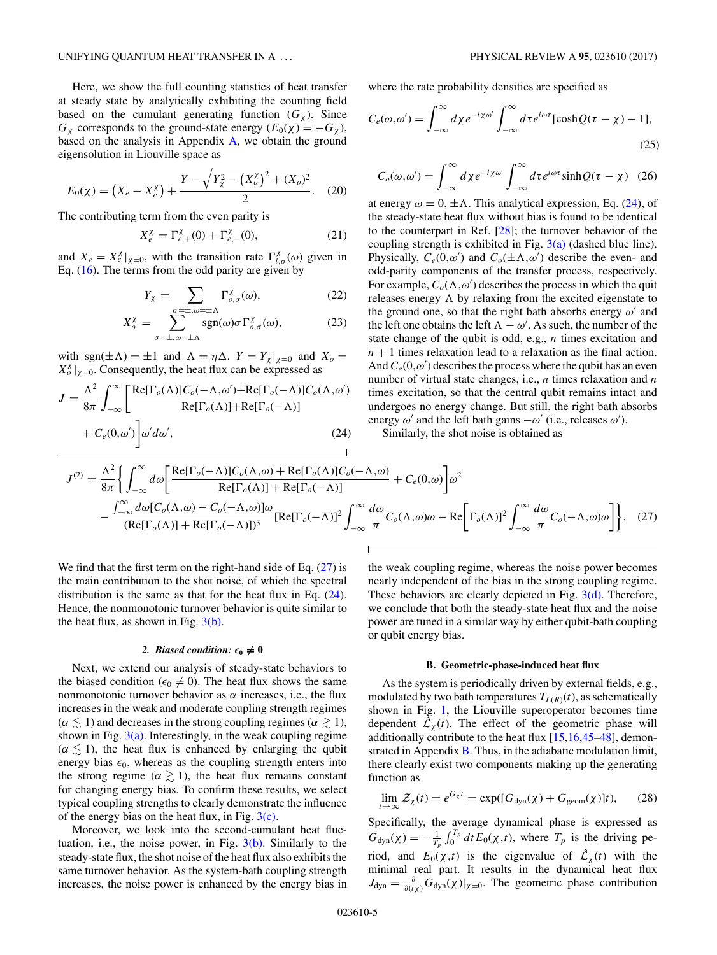Here, we show the full counting statistics of heat transfer at steady state by analytically exhibiting the counting field based on the cumulant generating function  $(G_\chi)$ . Since  $G_\chi$  corresponds to the ground-state energy  $(E_0(\chi) = -G_\chi)$ , based on the analysis in Appendix [A,](#page-7-0) we obtain the ground eigensolution in Liouville space as

$$
E_0(\chi) = \left(X_e - X_e^{\chi}\right) + \frac{Y - \sqrt{Y_{\chi}^2 - \left(X_o^{\chi}\right)^2 + (X_o)^2}}{2}.
$$
 (20)

The contributing term from the even parity is

$$
X_e^{\chi} = \Gamma_{e,+}^{\chi}(0) + \Gamma_{e,-}^{\chi}(0), \tag{21}
$$

and  $X_e = X_e^{\chi}|_{\chi=0}$ , with the transition rate  $\Gamma_{l,\sigma}^{\chi}(\omega)$  given in Eq.  $(16)$ . The terms from the odd parity are given by

$$
Y_{\chi} = \sum_{\sigma = \pm, \omega = \pm \Lambda} \Gamma^{\chi}_{\sigma, \sigma}(\omega), \tag{22}
$$

$$
X_o^{\chi} = \sum_{\sigma = \pm, \omega = \pm \Lambda} \text{sgn}(\omega) \sigma \Gamma_{o,\sigma}^{\chi}(\omega), \tag{23}
$$

with sgn( $\pm \Lambda$ ) =  $\pm 1$  and  $\Lambda = \eta \Delta$ .  $Y = Y_{\chi}|_{\chi=0}$  and  $X_o =$  $X_0^{\chi}$ <sub> $|\chi=0$ </sub>. Consequently, the heat flux can be expressed as

$$
J = \frac{\Lambda^2}{8\pi} \int_{-\infty}^{\infty} \left[ \frac{\text{Re}[\Gamma_o(\Lambda)]C_o(-\Lambda,\omega') + \text{Re}[\Gamma_o(-\Lambda)]C_o(\Lambda,\omega')}{\text{Re}[\Gamma_o(\Lambda)] + \text{Re}[\Gamma_o(-\Lambda)]} + C_e(0,\omega') \right] \omega' d\omega', \tag{24}
$$

where the rate probability densities are specified as

$$
C_e(\omega,\omega') = \int_{-\infty}^{\infty} d\chi \, e^{-i\chi\omega'} \int_{-\infty}^{\infty} d\tau \, e^{i\omega\tau} [\cosh Q(\tau-\chi) - 1],\tag{25}
$$

$$
C_o(\omega,\omega') = \int_{-\infty}^{\infty} d\chi \, e^{-i\chi\omega'} \int_{-\infty}^{\infty} d\tau \, e^{i\omega\tau} \sinh Q(\tau - \chi) \quad (26)
$$

at energy  $\omega = 0, \pm \Lambda$ . This analytical expression, Eq. (24), of the steady-state heat flux without bias is found to be identical to the counterpart in Ref. [\[28\]](#page-9-0); the turnover behavior of the coupling strength is exhibited in Fig.  $3(a)$  (dashed blue line). Physically,  $C_e(0,\omega')$  and  $C_o(\pm\Lambda,\omega')$  describe the even- and odd-parity components of the transfer process, respectively. For example,  $C_o(\Lambda, \omega')$  describes the process in which the quit releases energy  $\Lambda$  by relaxing from the excited eigenstate to the ground one, so that the right bath absorbs energy  $\omega'$  and the left one obtains the left  $\Lambda - \omega'$ . As such, the number of the state change of the qubit is odd, e.g., *n* times excitation and  $n + 1$  times relaxation lead to a relaxation as the final action. And  $C_e(0, \omega')$  describes the process where the qubit has an even number of virtual state changes, i.e., *n* times relaxation and *n* times excitation, so that the central qubit remains intact and undergoes no energy change. But still, the right bath absorbs energy *ω*' and the left bath gains  $-ω'$  (i.e., releases *ω*').

Similarly, the shot noise is obtained as

$$
J^{(2)} = \frac{\Lambda^2}{8\pi} \Biggl\{ \int_{-\infty}^{\infty} d\omega \Biggl[ \frac{\text{Re}[\Gamma_o(-\Lambda)]C_o(\Lambda,\omega) + \text{Re}[\Gamma_o(\Lambda)]C_o(-\Lambda,\omega)}{\text{Re}[\Gamma_o(\Lambda)] + \text{Re}[\Gamma_o(-\Lambda)]} + C_e(0,\omega) \Biggr] \omega^2 - \frac{\int_{-\infty}^{\infty} d\omega [C_o(\Lambda,\omega) - C_o(-\Lambda,\omega)]\omega}{(\text{Re}[\Gamma_o(\Lambda)] + \text{Re}[\Gamma_o(-\Lambda)])^3} [\text{Re}[\Gamma_o(-\Lambda)]^2 \int_{-\infty}^{\infty} \frac{d\omega}{\pi} C_o(\Lambda,\omega)\omega - \text{Re}[\Gamma_o(\Lambda)]^2 \int_{-\infty}^{\infty} \frac{d\omega}{\pi} C_o(-\Lambda,\omega)\omega \Biggr] \Biggr\}. \tag{27}
$$

We find that the first term on the right-hand side of Eq.  $(27)$  is the main contribution to the shot noise, of which the spectral distribution is the same as that for the heat flux in Eq.  $(24)$ . Hence, the nonmonotonic turnover behavior is quite similar to the heat flux, as shown in Fig.  $3(b)$ .

# 2. *Biased condition:*  $\epsilon_0 \neq 0$

Next, we extend our analysis of steady-state behaviors to the biased condition ( $\epsilon_0 \neq 0$ ). The heat flux shows the same nonmonotonic turnover behavior as *α* increases, i.e., the flux increases in the weak and moderate coupling strength regimes  $(\alpha \lesssim 1)$  and decreases in the strong coupling regimes ( $\alpha \gtrsim 1$ ), shown in Fig.  $3(a)$ . Interestingly, in the weak coupling regime  $(\alpha \lesssim 1)$ , the heat flux is enhanced by enlarging the qubit energy bias  $\epsilon_0$ , whereas as the coupling strength enters into the strong regime ( $\alpha \gtrsim 1$ ), the heat flux remains constant for changing energy bias. To confirm these results, we select typical coupling strengths to clearly demonstrate the influence of the energy bias on the heat flux, in Fig.  $3(c)$ .

Moreover, we look into the second-cumulant heat fluctuation, i.e., the noise power, in Fig.  $3(b)$ . Similarly to the steady-state flux, the shot noise of the heat flux also exhibits the same turnover behavior. As the system-bath coupling strength increases, the noise power is enhanced by the energy bias in

the weak coupling regime, whereas the noise power becomes nearly independent of the bias in the strong coupling regime. These behaviors are clearly depicted in Fig.  $3(d)$ . Therefore, we conclude that both the steady-state heat flux and the noise power are tuned in a similar way by either qubit-bath coupling or qubit energy bias.

#### **B. Geometric-phase-induced heat flux**

As the system is periodically driven by external fields, e.g., modulated by two bath temperatures  $T_{L(R)}(t)$ , as schematically shown in Fig. [1,](#page-1-0) the Liouville superoperator becomes time dependent  $\tilde{\mathcal{L}}_{\chi}(t)$ . The effect of the geometric phase will additionally contribute to the heat flux [\[15,16](#page-8-0)[,45–48\]](#page-9-0), demonstrated in Appendix  $\bf{B}$ . Thus, in the adiabatic modulation limit, there clearly exist two components making up the generating function as

$$
\lim_{t \to \infty} \mathcal{Z}_{\chi}(t) = e^{G_{\chi}t} = \exp([G_{\text{dyn}}(\chi) + G_{\text{geom}}(\chi)]t), \tag{28}
$$

Specifically, the average dynamical phase is expressed as  $G_{\text{dyn}}(\chi) = -\frac{1}{T_p} \int_0^{T_p} dt E_0(\chi, t)$ , where  $T_p$  is the driving period, and  $E_0(\chi,t)$  is the eigenvalue of  $\hat{\mathcal{L}}_{\chi}(t)$  with the minimal real part. It results in the dynamical heat flux  $J_{\text{dyn}} = \frac{\partial}{\partial (i \chi)} G_{\text{dyn}}(\chi)|_{\chi=0}$ . The geometric phase contribution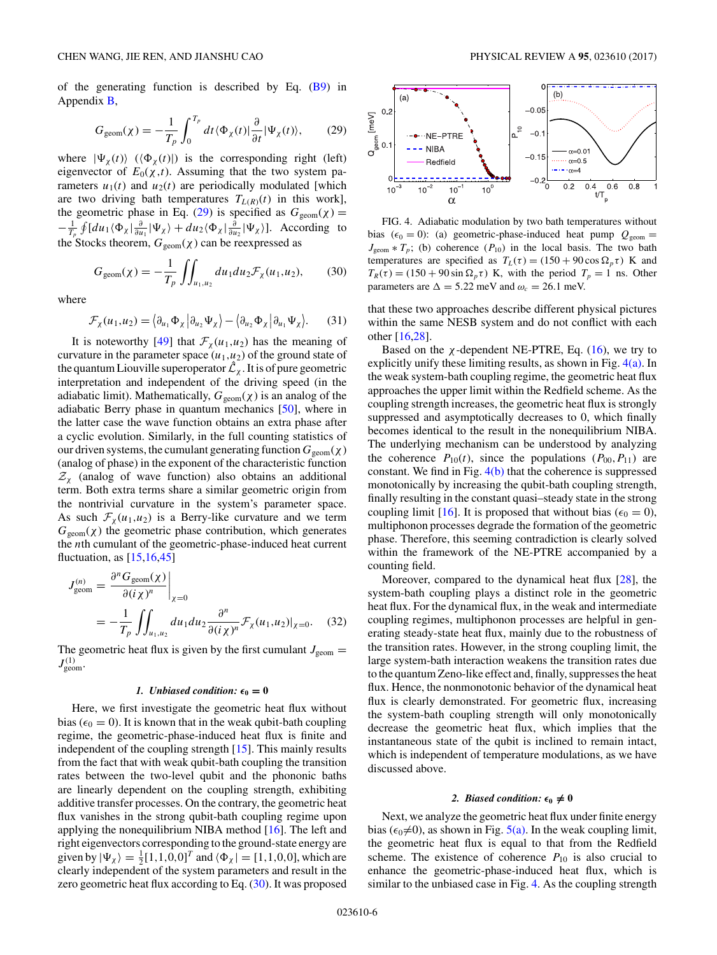<span id="page-5-0"></span>of the generating function is described by Eq. [\(B9\)](#page-8-0) in Appendix [B,](#page-8-0)

$$
G_{\text{geom}}(\chi) = -\frac{1}{T_p} \int_0^{T_p} dt \langle \Phi_\chi(t) | \frac{\partial}{\partial t} | \Psi_\chi(t) \rangle, \qquad (29)
$$

where  $|\Psi_{\gamma}(t)\rangle$  ( $\langle \Phi_{\gamma}(t)|$ ) is the corresponding right (left) eigenvector of  $E_0(\chi,t)$ . Assuming that the two system parameters  $u_1(t)$  and  $u_2(t)$  are periodically modulated [which are two driving bath temperatures  $T_{L(R)}(t)$  in this work], the geometric phase in Eq. (29) is specified as  $G_{\text{geom}}(\chi)$  =  $-\frac{1}{T_p} \oint [du_1 \langle \Phi_\chi | \frac{\partial}{\partial u_1} | \Psi_\chi \rangle + du_2 \langle \Phi_\chi | \frac{\partial}{\partial u_2} | \Psi_\chi \rangle].$  According to the Stocks theorem,  $G_{\text{geom}}(\chi)$  can be reexpressed as

$$
G_{\text{geom}}(\chi) = -\frac{1}{T_p} \iint_{u_1, u_2} du_1 du_2 \mathcal{F}_\chi(u_1, u_2), \qquad (30)
$$

where

$$
\mathcal{F}_{\chi}(u_1, u_2) = \left\langle \partial_{u_1} \Phi_{\chi} \left| \partial_{u_2} \Psi_{\chi} \right\rangle - \left\langle \partial_{u_2} \Phi_{\chi} \left| \partial_{u_1} \Psi_{\chi} \right\rangle \right. \tag{31}
$$

It is noteworthy [\[49\]](#page-9-0) that  $\mathcal{F}_{\chi}(u_1, u_2)$  has the meaning of curvature in the parameter space  $(u_1, u_2)$  of the ground state of the quantum Liouville superoperator  $\mathcal{L}_\chi$ . It is of pure geometric interpretation and independent of the driving speed (in the adiabatic limit). Mathematically,  $G_{\text{geom}}(\chi)$  is an analog of the adiabatic Berry phase in quantum mechanics [\[50\]](#page-9-0), where in the latter case the wave function obtains an extra phase after a cyclic evolution. Similarly, in the full counting statistics of our driven systems, the cumulant generating function  $G_{\text{geom}}(\chi)$ (analog of phase) in the exponent of the characteristic function  $\mathcal{Z}_{\chi}$  (analog of wave function) also obtains an additional term. Both extra terms share a similar geometric origin from the nontrivial curvature in the system's parameter space. As such  $\mathcal{F}_\chi(u_1, u_2)$  is a Berry-like curvature and we term  $G_{\text{geom}}(\chi)$  the geometric phase contribution, which generates the *n*th cumulant of the geometric-phase-induced heat current fluctuation, as [\[15,16,](#page-8-0)[45\]](#page-9-0)

$$
J_{\text{geom}}^{(n)} = \frac{\partial^n G_{\text{geom}}(\chi)}{\partial (i \chi)^n} \Big|_{\chi=0}
$$
  
= 
$$
-\frac{1}{T_p} \iint_{u_1, u_2} du_1 du_2 \frac{\partial^n}{\partial (i \chi)^n} \mathcal{F}_{\chi}(u_1, u_2)|_{\chi=0}.
$$
 (32)

The geometric heat flux is given by the first cumulant  $J_{\text{geom}} =$  $J_{\text{geom}}^{(1)}$ .

# *i*. Unbiased condition:  $\epsilon_0 = 0$

Here, we first investigate the geometric heat flux without bias  $(\epsilon_0 = 0)$ . It is known that in the weak qubit-bath coupling regime, the geometric-phase-induced heat flux is finite and independent of the coupling strength [\[15\]](#page-8-0). This mainly results from the fact that with weak qubit-bath coupling the transition rates between the two-level qubit and the phononic baths are linearly dependent on the coupling strength, exhibiting additive transfer processes. On the contrary, the geometric heat flux vanishes in the strong qubit-bath coupling regime upon applying the nonequilibrium NIBA method [\[16\]](#page-8-0). The left and right eigenvectors corresponding to the ground-state energy are given by  $|\Psi_{\chi}\rangle = \frac{1}{2} [1, 1, 0, 0]^T$  and  $\langle \Phi_{\chi}| = [1, 1, 0, 0]$ , which are clearly independent of the system parameters and result in the zero geometric heat flux according to Eq. (30). It was proposed



FIG. 4. Adiabatic modulation by two bath temperatures without bias  $(\epsilon_0 = 0)$ : (a) geometric-phase-induced heat pump  $Q_{\text{geom}} =$  $J_{\text{geom}} * T_p$ ; (b) coherence  $(P_{10})$  in the local basis. The two bath temperatures are specified as  $T_L(\tau) = (150 + 90 \cos \Omega_p \tau)$  K and  $T_R(\tau) = (150 + 90 \sin \Omega_p \tau)$  K, with the period  $T_p = 1$  ns. Other parameters are  $\Delta = 5.22$  meV and  $\omega_c = 26.1$  meV.

that these two approaches describe different physical pictures within the same NESB system and do not conflict with each other [\[16,](#page-8-0)[28\]](#page-9-0).

Based on the  $\chi$ -dependent NE-PTRE, Eq. [\(16\)](#page-3-0), we try to explicitly unify these limiting results, as shown in Fig. 4(a). In the weak system-bath coupling regime, the geometric heat flux approaches the upper limit within the Redfield scheme. As the coupling strength increases, the geometric heat flux is strongly suppressed and asymptotically decreases to 0, which finally becomes identical to the result in the nonequilibrium NIBA. The underlying mechanism can be understood by analyzing the coherence  $P_{10}(t)$ , since the populations  $(P_{00}, P_{11})$  are constant. We find in Fig. 4(b) that the coherence is suppressed monotonically by increasing the qubit-bath coupling strength, finally resulting in the constant quasi–steady state in the strong coupling limit [\[16\]](#page-8-0). It is proposed that without bias ( $\epsilon_0 = 0$ ), multiphonon processes degrade the formation of the geometric phase. Therefore, this seeming contradiction is clearly solved within the framework of the NE-PTRE accompanied by a counting field.

Moreover, compared to the dynamical heat flux [\[28\]](#page-9-0), the system-bath coupling plays a distinct role in the geometric heat flux. For the dynamical flux, in the weak and intermediate coupling regimes, multiphonon processes are helpful in generating steady-state heat flux, mainly due to the robustness of the transition rates. However, in the strong coupling limit, the large system-bath interaction weakens the transition rates due to the quantum Zeno-like effect and, finally, suppresses the heat flux. Hence, the nonmonotonic behavior of the dynamical heat flux is clearly demonstrated. For geometric flux, increasing the system-bath coupling strength will only monotonically decrease the geometric heat flux, which implies that the instantaneous state of the qubit is inclined to remain intact, which is independent of temperature modulations, as we have discussed above.

# 2. *Biased condition:*  $\epsilon_0 \neq 0$

Next, we analyze the geometric heat flux under finite energy bias ( $\epsilon_0 \neq 0$ ), as shown in Fig. [5\(a\).](#page-6-0) In the weak coupling limit, the geometric heat flux is equal to that from the Redfield scheme. The existence of coherence  $P_{10}$  is also crucial to enhance the geometric-phase-induced heat flux, which is similar to the unbiased case in Fig. 4. As the coupling strength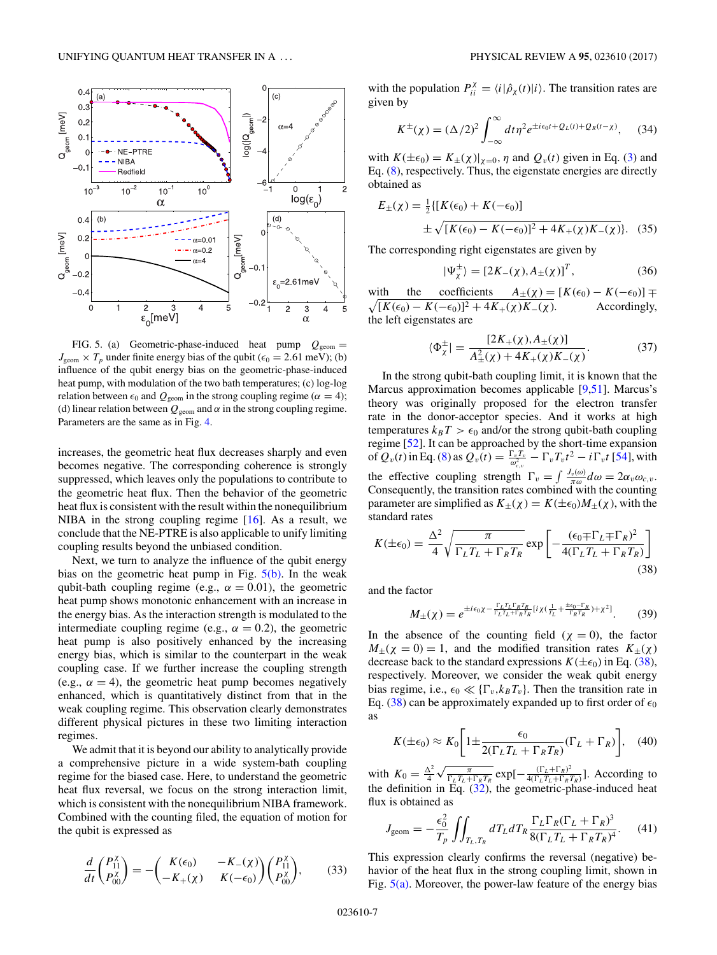<span id="page-6-0"></span>

FIG. 5. (a) Geometric-phase-induced heat pump  $Q_{\text{geom}} =$  $J_{\text{geom}} \times T_p$  under finite energy bias of the qubit ( $\epsilon_0 = 2.61 \text{ meV}$ ); (b) influence of the qubit energy bias on the geometric-phase-induced heat pump, with modulation of the two bath temperatures; (c) log-log relation between  $\epsilon_0$  and  $Q_{\text{geom}}$  in the strong coupling regime ( $\alpha = 4$ ); (d) linear relation between  $Q_{\text{geom}}$  and  $\alpha$  in the strong coupling regime. Parameters are the same as in Fig. [4.](#page-5-0)

increases, the geometric heat flux decreases sharply and even becomes negative. The corresponding coherence is strongly suppressed, which leaves only the populations to contribute to the geometric heat flux. Then the behavior of the geometric heat flux is consistent with the result within the nonequilibrium NIBA in the strong coupling regime [\[16\]](#page-8-0). As a result, we conclude that the NE-PTRE is also applicable to unify limiting coupling results beyond the unbiased condition.

Next, we turn to analyze the influence of the qubit energy bias on the geometric heat pump in Fig.  $5(b)$ . In the weak qubit-bath coupling regime (e.g.,  $\alpha = 0.01$ ), the geometric heat pump shows monotonic enhancement with an increase in the energy bias. As the interaction strength is modulated to the intermediate coupling regime (e.g.,  $\alpha = 0.2$ ), the geometric heat pump is also positively enhanced by the increasing energy bias, which is similar to the counterpart in the weak coupling case. If we further increase the coupling strength (e.g.,  $\alpha = 4$ ), the geometric heat pump becomes negatively enhanced, which is quantitatively distinct from that in the weak coupling regime. This observation clearly demonstrates different physical pictures in these two limiting interaction regimes.

We admit that it is beyond our ability to analytically provide a comprehensive picture in a wide system-bath coupling regime for the biased case. Here, to understand the geometric heat flux reversal, we focus on the strong interaction limit, which is consistent with the nonequilibrium NIBA framework. Combined with the counting filed, the equation of motion for the qubit is expressed as

$$
\frac{d}{dt} \begin{pmatrix} P_{11}^{\chi} \\ P_{00}^{\chi} \end{pmatrix} = - \begin{pmatrix} K(\epsilon_0) & -K_{-}(\chi) \\ -K_{+}(\chi) & K(-\epsilon_0) \end{pmatrix} \begin{pmatrix} P_{11}^{\chi} \\ P_{00}^{\chi} \end{pmatrix}, \tag{33}
$$

with the population  $P_{ii}^{\chi} = \langle i | \hat{\rho}_{\chi}(t) | i \rangle$ . The transition rates are given by

$$
K^{\pm}(\chi) = (\Delta/2)^2 \int_{-\infty}^{\infty} dt \eta^2 e^{\pm i\epsilon_0 t + Q_L(t) + Q_R(t - \chi)}, \quad (34)
$$

with  $K(\pm \epsilon_0) = K_{\pm}(\chi)|_{\chi=0}$ ,  $\eta$  and  $Q_v(t)$  given in Eq. [\(3\)](#page-1-0) and Eq. [\(8\)](#page-2-0), respectively. Thus, the eigenstate energies are directly obtained as

$$
E_{\pm}(\chi) = \frac{1}{2} \{ [K(\epsilon_0) + K(-\epsilon_0)]
$$
  
 
$$
\pm \sqrt{[K(\epsilon_0) - K(-\epsilon_0)]^2 + 4K_{+}(\chi)K_{-}(\chi)} \}.
$$
 (35)

The corresponding right eigenstates are given by

$$
|\Psi_{\chi}^{\pm}\rangle = [2K_{-}(\chi), A_{\pm}(\chi)]^{T}, \qquad (36)
$$

with the coefficients  $\sqrt{[K(\epsilon_0) - K(-\epsilon_0)]^2 + 4K_+(\chi)K_-(\chi)}$ . Accordingly,  $A_{\pm}(\chi) = [K(\epsilon_0) - K(-\epsilon_0)]$ the left eigenstates are

$$
\langle \Phi_{\chi}^{\pm} | = \frac{[2K_{+}(\chi), A_{\pm}(\chi)]}{A_{\pm}^{2}(\chi) + 4K_{+}(\chi)K_{-}(\chi)}.
$$
 (37)

In the strong qubit-bath coupling limit, it is known that the Marcus approximation becomes applicable [\[9](#page-8-0)[,51\]](#page-9-0). Marcus's theory was originally proposed for the electron transfer rate in the donor-acceptor species. And it works at high temperatures  $k_B T > \epsilon_0$  and/or the strong qubit-bath coupling regime [\[52\]](#page-9-0). It can be approached by the short-time expansion of  $Q_v(t)$  in Eq. [\(8\)](#page-2-0) as  $Q_v(t) = \frac{\Gamma_v T_v}{\omega_{c,v}^2} - \Gamma_v T_v t^2 - i \Gamma_v t$  [\[54\]](#page-9-0), with the effective coupling strength  $\Gamma_v = \int \frac{J_v(\omega)}{\pi \omega} d\omega = 2\alpha_v \omega_{c,v}$ . Consequently, the transition rates combined with the counting

parameter are simplified as  $K_{\pm}(\chi) = K(\pm \epsilon_0)M_{\pm}(\chi)$ , with the standard rates

$$
K(\pm\epsilon_0) = \frac{\Delta^2}{4} \sqrt{\frac{\pi}{\Gamma_L T_L + \Gamma_R T_R}} \exp\left[-\frac{(\epsilon_0 \mp \Gamma_L \mp \Gamma_R)^2}{4(\Gamma_L T_L + \Gamma_R T_R)}\right]
$$
(38)

and the factor

$$
M_{\pm}(\chi) = e^{\pm i\epsilon_0 \chi - \frac{\Gamma_L T_L \Gamma_R T_R}{\Gamma_L T_L + \Gamma_R T_R} [i\chi(\frac{1}{T_L} + \frac{\pm \epsilon_0 - \Gamma_R}{\Gamma_R T_R}) + \chi^2]},\tag{39}
$$

In the absence of the counting field  $(\chi = 0)$ , the factor  $M_{+}(\chi = 0) = 1$ , and the modified transition rates  $K_{+}(\chi)$ decrease back to the standard expressions  $K(\pm \epsilon_0)$  in Eq. (38), respectively. Moreover, we consider the weak qubit energy bias regime, i.e.,  $\epsilon_0 \ll {\{\Gamma_v, k_B T_v\}}$ . Then the transition rate in Eq. (38) can be approximately expanded up to first order of  $\epsilon_0$ as

$$
K(\pm\epsilon_0) \approx K_0 \left[ 1 \pm \frac{\epsilon_0}{2(\Gamma_L T_L + \Gamma_R T_R)} (\Gamma_L + \Gamma_R) \right], \quad (40)
$$

with  $K_0 = \frac{\Delta^2}{4} \sqrt{\frac{\pi}{\Gamma_L T_L + \Gamma_R T_R}} \exp[-\frac{(\Gamma_L + \Gamma_R)^2}{4(\Gamma_L T_L + \Gamma_R)}]$  $\frac{(I_L+I_R)^2}{4(\Gamma_L T_L+\Gamma_R T_R)}$ ]. According to the definition in Eq.  $(32)$ , the geometric-phase-induced heat flux is obtained as

$$
J_{\text{geom}} = -\frac{\epsilon_0^2}{T_p} \iint_{T_L, T_R} dT_L dT_R \frac{\Gamma_L \Gamma_R (\Gamma_L + \Gamma_R)^3}{8(\Gamma_L T_L + \Gamma_R T_R)^4}.
$$
 (41)

This expression clearly confirms the reversal (negative) behavior of the heat flux in the strong coupling limit, shown in Fig.  $5(a)$ . Moreover, the power-law feature of the energy bias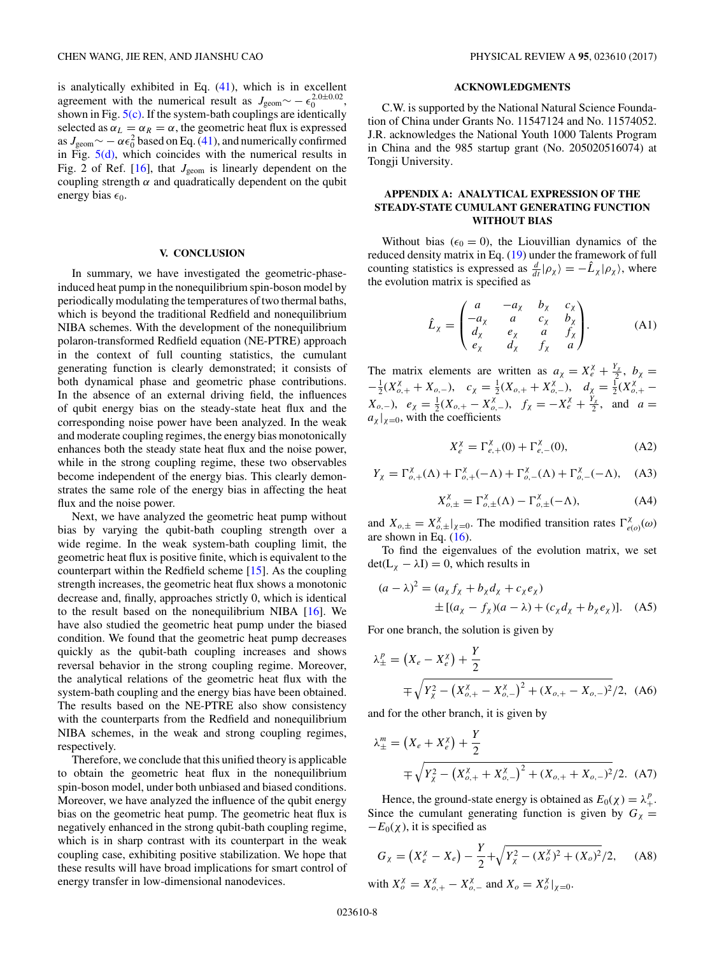<span id="page-7-0"></span>is analytically exhibited in Eq. [\(41\)](#page-6-0), which is in excellent agreement with the numerical result as  $J_{\text{geom}} \sim -\epsilon_0^{2.0\pm0.02}$ , shown in Fig.  $5(c)$ . If the system-bath couplings are identically selected as  $\alpha_L = \alpha_R = \alpha$ , the geometric heat flux is expressed as  $J_{\text{geom}} \sim -\alpha \epsilon_0^2$  based on Eq. [\(41\)](#page-6-0), and numerically confirmed in Fig.  $5(d)$ , which coincides with the numerical results in Fig. 2 of Ref.  $[16]$ , that  $J_{\text{geom}}$  is linearly dependent on the coupling strength  $\alpha$  and quadratically dependent on the qubit energy bias *-*0.

### **V. CONCLUSION**

In summary, we have investigated the geometric-phaseinduced heat pump in the nonequilibrium spin-boson model by periodically modulating the temperatures of two thermal baths, which is beyond the traditional Redfield and nonequilibrium NIBA schemes. With the development of the nonequilibrium polaron-transformed Redfield equation (NE-PTRE) approach in the context of full counting statistics, the cumulant generating function is clearly demonstrated; it consists of both dynamical phase and geometric phase contributions. In the absence of an external driving field, the influences of qubit energy bias on the steady-state heat flux and the corresponding noise power have been analyzed. In the weak and moderate coupling regimes, the energy bias monotonically enhances both the steady state heat flux and the noise power, while in the strong coupling regime, these two observables become independent of the energy bias. This clearly demonstrates the same role of the energy bias in affecting the heat flux and the noise power.

Next, we have analyzed the geometric heat pump without bias by varying the qubit-bath coupling strength over a wide regime. In the weak system-bath coupling limit, the geometric heat flux is positive finite, which is equivalent to the counterpart within the Redfield scheme [\[15\]](#page-8-0). As the coupling strength increases, the geometric heat flux shows a monotonic decrease and, finally, approaches strictly 0, which is identical to the result based on the nonequilibrium NIBA [\[16\]](#page-8-0). We have also studied the geometric heat pump under the biased condition. We found that the geometric heat pump decreases quickly as the qubit-bath coupling increases and shows reversal behavior in the strong coupling regime. Moreover, the analytical relations of the geometric heat flux with the system-bath coupling and the energy bias have been obtained. The results based on the NE-PTRE also show consistency with the counterparts from the Redfield and nonequilibrium NIBA schemes, in the weak and strong coupling regimes, respectively.

Therefore, we conclude that this unified theory is applicable to obtain the geometric heat flux in the nonequilibrium spin-boson model, under both unbiased and biased conditions. Moreover, we have analyzed the influence of the qubit energy bias on the geometric heat pump. The geometric heat flux is negatively enhanced in the strong qubit-bath coupling regime, which is in sharp contrast with its counterpart in the weak coupling case, exhibiting positive stabilization. We hope that these results will have broad implications for smart control of energy transfer in low-dimensional nanodevices.

### **ACKNOWLEDGMENTS**

C.W. is supported by the National Natural Science Foundation of China under Grants No. 11547124 and No. 11574052. J.R. acknowledges the National Youth 1000 Talents Program in China and the 985 startup grant (No. 205020516074) at Tongji University.

## **APPENDIX A: ANALYTICAL EXPRESSION OF THE STEADY-STATE CUMULANT GENERATING FUNCTION WITHOUT BIAS**

Without bias  $(\epsilon_0 = 0)$ , the Liouvillian dynamics of the reduced density matrix in Eq. [\(19\)](#page-3-0) under the framework of full counting statistics is expressed as  $\frac{d}{dt} |\rho_\chi\rangle = -\hat{L}_\chi |\rho_\chi\rangle$ , where the evolution matrix is specified as

$$
\hat{L}_\chi = \begin{pmatrix}\na & -a_\chi & b_\chi & c_\chi \\
-a_\chi & a & c_\chi & b_\chi \\
d_\chi & e_\chi & a & f_\chi \\
e_\chi & d_\chi & f_\chi & a\n\end{pmatrix} .
$$
\n(A1)

The matrix elements are written as  $a_{\chi} = X_e^{\chi} + \frac{Y_{\chi}}{2}$ ,  $b_{\chi} =$  $-\frac{1}{2}(X_{o,+}^{\chi} + X_{o,-}), \quad c_{\chi} = \frac{1}{2}(X_{o,+} + X_{o,-}^{\chi}), \quad d_{\chi} = \frac{1}{2}(X_{o,+}^{\chi} - X_{o,-}^{\chi})$ *X<sub>o,−</sub>*),  $e_\chi = \frac{1}{2}(X_{o,+} - X_{o,-}^\chi)$ ,  $f_\chi = -X_e^\chi + \frac{Y_\chi}{2}$ , and  $a =$  $a_\chi|_{\chi=0}$ , with the coefficients

$$
X_e^{\chi} = \Gamma_{e,+}^{\chi}(0) + \Gamma_{e,-}^{\chi}(0), \tag{A2}
$$

$$
Y_{\chi} = \Gamma_{o,+}^{\chi}(\Lambda) + \Gamma_{o,+}^{\chi}(-\Lambda) + \Gamma_{o,-}^{\chi}(\Lambda) + \Gamma_{o,-}^{\chi}(-\Lambda), \quad (A3)
$$

$$
X_{o,\pm}^{\chi} = \Gamma_{o,\pm}^{\chi}(\Lambda) - \Gamma_{o,\pm}^{\chi}(-\Lambda), \tag{A4}
$$

and  $X_{o,\pm} = X_{o,\pm}^{\chi}|_{\chi=0}$ . The modified transition rates  $\Gamma_{e(o)}^{\chi}(\omega)$ are shown in Eq.  $(16)$ .

To find the eigenvalues of the evolution matrix, we set  $det(L_\chi - \lambda I) = 0$ , which results in

$$
(a - \lambda)^2 = (a_\chi f_\chi + b_\chi d_\chi + c_\chi e_\chi)
$$
  
 
$$
\pm [(a_\chi - f_\chi)(a - \lambda) + (c_\chi d_\chi + b_\chi e_\chi)]. \quad (A5)
$$

For one branch, the solution is given by

$$
\lambda_{\pm}^{p} = (X_e - X_e^{\chi}) + \frac{Y}{2}
$$
  
 
$$
\mp \sqrt{Y_{\chi}^{2} - (X_{o,+}^{\chi} - X_{o,-}^{\chi})^{2} + (X_{o,+} - X_{o,-})^{2}} / 2, (A6)
$$

and for the other branch, it is given by

$$
\lambda_{\pm}^{m} = (X_e + X_e^{\chi}) + \frac{Y}{2}
$$
  
 
$$
= \sqrt{Y_{\chi}^{2} - (X_{o,+}^{\chi} + X_{o,-}^{\chi})^{2} + (X_{o,+} + X_{o,-})^{2}} / 2. \quad (A7)
$$

Hence, the ground-state energy is obtained as  $E_0(\chi) = \lambda_+^p$ . Since the cumulant generating function is given by  $G_\chi =$  $-E_0(\chi)$ , it is specified as

$$
G_{\chi} = (X_e^{\chi} - X_e) - \frac{Y}{2} + \sqrt{Y_{\chi}^2 - (X_o^{\chi})^2 + (X_o)^2}/2, \quad (A8)
$$

with  $X_o^{\chi} = X_{o,+}^{\chi} - X_{o,-}^{\chi}$  and  $X_o = X_o^{\chi}|_{\chi=0}$ .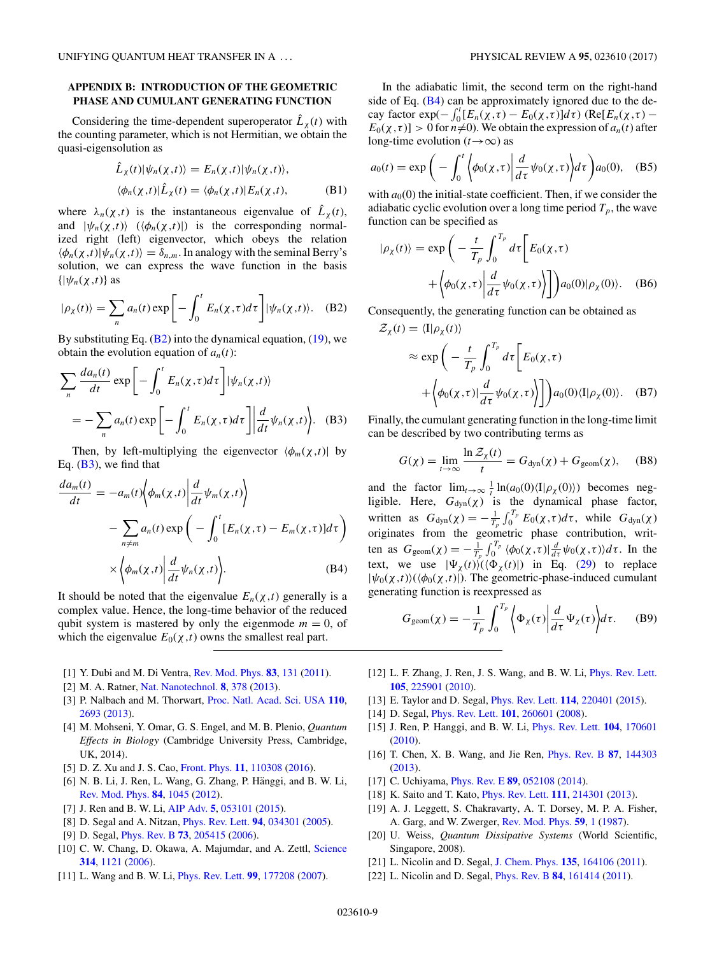## <span id="page-8-0"></span>**APPENDIX B: INTRODUCTION OF THE GEOMETRIC PHASE AND CUMULANT GENERATING FUNCTION**

Considering the time-dependent superoperator  $\hat{L}_\chi(t)$  with the counting parameter, which is not Hermitian, we obtain the quasi-eigensolution as

$$
\hat{L}_{\chi}(t)|\psi_{n}(\chi,t)\rangle = E_{n}(\chi,t)|\psi_{n}(\chi,t)\rangle,
$$
  

$$
\langle \phi_{n}(\chi,t)|\hat{L}_{\chi}(t) = \langle \phi_{n}(\chi,t)|E_{n}(\chi,t),
$$
 (B1)

where  $\lambda_n(\chi,t)$  is the instantaneous eigenvalue of  $\hat{L}_{\chi}(t)$ , and  $|\psi_n(\chi,t)\rangle$  ( $\langle \phi_n(\chi,t)|$ ) is the corresponding normalized right (left) eigenvector, which obeys the relation  $\langle \phi_n(\chi,t) | \psi_n(\chi,t) \rangle = \delta_{n,m}$ . In analogy with the seminal Berry's solution, we can express the wave function in the basis  $\{|\psi_n(\chi,t)\}\$ as

$$
|\rho_{\chi}(t)\rangle = \sum_{n} a_{n}(t) \exp\left[-\int_{0}^{t} E_{n}(\chi,\tau)d\tau\right] |\psi_{n}(\chi,t)\rangle. \quad (B2)
$$

By substituting Eq.  $(B2)$  into the dynamical equation,  $(19)$ , we obtain the evolution equation of  $a_n(t)$ :

$$
\sum_{n} \frac{da_n(t)}{dt} \exp\left[-\int_0^t E_n(\chi,\tau)d\tau\right] |\psi_n(\chi,t)\rangle
$$
  
=  $-\sum_n a_n(t) \exp\left[-\int_0^t E_n(\chi,\tau)d\tau\right] \left|\frac{d}{dt}\psi_n(\chi,t)\right|.$  (B3)

Then, by left-multiplying the eigenvector  $\langle \phi_m(\chi, t) |$  by Eq.  $(B3)$ , we find that

$$
\frac{da_m(t)}{dt} = -a_m(t) \left\langle \phi_m(\chi, t) \middle| \frac{d}{dt} \psi_m(\chi, t) \right\rangle
$$

$$
- \sum_{n \neq m} a_n(t) \exp\left(-\int_0^t [E_n(\chi, \tau) - E_m(\chi, \tau)] d\tau\right)
$$

$$
\times \left\langle \phi_m(\chi, t) \middle| \frac{d}{dt} \psi_n(\chi, t) \right\rangle. \tag{B4}
$$

It should be noted that the eigenvalue  $E_n(\chi, t)$  generally is a complex value. Hence, the long-time behavior of the reduced qubit system is mastered by only the eigenmode  $m = 0$ , of which the eigenvalue  $E_0(\chi, t)$  owns the smallest real part.

- [1] Y. Dubi and M. Di Ventra, [Rev. Mod. Phys.](https://doi.org/10.1103/RevModPhys.83.131) **[83](https://doi.org/10.1103/RevModPhys.83.131)**, [131](https://doi.org/10.1103/RevModPhys.83.131) [\(2011\)](https://doi.org/10.1103/RevModPhys.83.131).
- [2] M. A. Ratner, [Nat. Nanotechnol.](https://doi.org/10.1038/nnano.2013.110) **[8](https://doi.org/10.1038/nnano.2013.110)**, [378](https://doi.org/10.1038/nnano.2013.110) [\(2013\)](https://doi.org/10.1038/nnano.2013.110).
- [3] P. Nalbach and M. Thorwart, [Proc. Natl. Acad. Sci. USA](https://doi.org/10.1073/pnas.1220587110) **[110](https://doi.org/10.1073/pnas.1220587110)**, [2693](https://doi.org/10.1073/pnas.1220587110) [\(2013\)](https://doi.org/10.1073/pnas.1220587110).
- [4] M. Mohseni, Y. Omar, G. S. Engel, and M. B. Plenio, *Quantum Effects in Biology* (Cambridge University Press, Cambridge, UK, 2014).
- [5] D. Z. Xu and J. S. Cao, [Front. Phys.](https://doi.org/10.1007/s11467-016-0540-2) **[11](https://doi.org/10.1007/s11467-016-0540-2)**, [110308](https://doi.org/10.1007/s11467-016-0540-2) [\(2016\)](https://doi.org/10.1007/s11467-016-0540-2).
- [6] N. B. Li, J. Ren, L. Wang, G. Zhang, P. Hänggi, and B. W. Li, [Rev. Mod. Phys.](https://doi.org/10.1103/RevModPhys.84.1045) **[84](https://doi.org/10.1103/RevModPhys.84.1045)**, [1045](https://doi.org/10.1103/RevModPhys.84.1045) [\(2012\)](https://doi.org/10.1103/RevModPhys.84.1045).
- [7] J. Ren and B. W. Li, [AIP Adv.](https://doi.org/10.1063/1.4922168) **[5](https://doi.org/10.1063/1.4922168)**, [053101](https://doi.org/10.1063/1.4922168) [\(2015\)](https://doi.org/10.1063/1.4922168).
- [8] D. Segal and A. Nitzan, [Phys. Rev. Lett.](https://doi.org/10.1103/PhysRevLett.94.034301) **[94](https://doi.org/10.1103/PhysRevLett.94.034301)**, [034301](https://doi.org/10.1103/PhysRevLett.94.034301) [\(2005\)](https://doi.org/10.1103/PhysRevLett.94.034301).
- [9] D. Segal, [Phys. Rev. B](https://doi.org/10.1103/PhysRevB.73.205415) **[73](https://doi.org/10.1103/PhysRevB.73.205415)**, [205415](https://doi.org/10.1103/PhysRevB.73.205415) [\(2006\)](https://doi.org/10.1103/PhysRevB.73.205415).
- [10] C. W. Chang, D. Okawa, A. Majumdar, and A. Zettl, [Science](https://doi.org/10.1126/science.1132898) **[314](https://doi.org/10.1126/science.1132898)**, [1121](https://doi.org/10.1126/science.1132898) [\(2006\)](https://doi.org/10.1126/science.1132898).
- [11] L. Wang and B. W. Li, [Phys. Rev. Lett.](https://doi.org/10.1103/PhysRevLett.99.177208) **[99](https://doi.org/10.1103/PhysRevLett.99.177208)**, [177208](https://doi.org/10.1103/PhysRevLett.99.177208) [\(2007\)](https://doi.org/10.1103/PhysRevLett.99.177208).

In the adiabatic limit, the second term on the right-hand side of Eq.  $(B4)$  can be approximately ignored due to the decay factor  $\exp(-\int_0^t [E_n(\chi,\tau) - E_0(\chi,\tau)]d\tau)$  (Re[ $E_n(\chi,\tau)$  –  $E_0(\chi, \tau)$  > 0 for  $n \neq 0$ ). We obtain the expression of  $a_n(t)$  after long-time evolution  $(t\rightarrow\infty)$  as

$$
a_0(t) = \exp\bigg(-\int_0^t \bigg\langle \phi_0(\chi,\tau) \bigg| \frac{d}{d\tau} \psi_0(\chi,\tau) \bigg\rangle d\tau \bigg) a_0(0), \quad \text{(B5)}
$$

with  $a_0(0)$  the initial-state coefficient. Then, if we consider the adiabatic cyclic evolution over a long time period  $T_p$ , the wave function can be specified as

$$
|\rho_{\chi}(t)\rangle = \exp\bigg(-\frac{t}{T_p} \int_0^{T_p} d\tau \bigg[E_0(\chi, \tau) + \bigg\langle \phi_0(\chi, \tau) \bigg| \frac{d}{d\tau} \psi_0(\chi, \tau) \bigg\rangle \bigg]\bigg) a_0(0) |\rho_{\chi}(0)\rangle. \quad (B6)
$$

Consequently, the generating function can be obtained as

 $\mathcal{Z}_\chi$ 

$$
\begin{aligned} \n(t) &= \langle \mathbf{I} | \rho_{\chi}(t) \rangle \\ \n&\approx \exp\bigg(-\frac{t}{T_p} \int_0^{T_p} d\tau \bigg[ E_0(\chi, \tau) \\ \n&\quad + \bigg\langle \phi_0(\chi, \tau) | \frac{d}{d\tau} \psi_0(\chi, \tau) \bigg\rangle \bigg] \bigg) a_0(0) \langle \mathbf{I} | \rho_{\chi}(0) \rangle. \n\end{aligned} \tag{B7}
$$

Finally, the cumulant generating function in the long-time limit can be described by two contributing terms as

$$
G(\chi) = \lim_{t \to \infty} \frac{\ln \mathcal{Z}_{\chi}(t)}{t} = G_{\text{dyn}}(\chi) + G_{\text{geom}}(\chi), \quad (B8)
$$

and the factor  $\lim_{t\to\infty} \frac{1}{t} \ln(a_0(0) \langle I | \rho_\chi(0) \rangle)$  becomes negligible. Here,  $G_{dyn}(\chi)$  is the dynamical phase factor, written as  $G_{dyn}(\chi) = -\frac{1}{T_p} \int_0^{T_p} E_0(\chi, \tau) d\tau$ , while  $G_{dyn}(\chi)$ originates from the geometric phase contribution, written as  $G_{\text{geom}}(\chi) = -\frac{1}{T_p} \int_0^{T_p} \langle \phi_0(\chi, \tau) | \frac{d}{d\tau} \psi_0(\chi, \tau) \rangle d\tau$ . In the text, we use  $|\Psi_{\chi}(t)\rangle (\langle \Phi_{\chi}(t)|)$  in Eq. [\(29\)](#page-5-0) to replace  $|\psi_0(\chi,t)\rangle(\langle\phi_0(\chi,t)|)$ . The geometric-phase-induced cumulant generating function is reexpressed as

$$
G_{\text{geom}}(\chi) = -\frac{1}{T_p} \int_0^{T_p} \left\langle \Phi_\chi(\tau) \left| \frac{d}{d\tau} \Psi_\chi(\tau) \right\rangle d\tau. \tag{B9}
$$

- [12] L. F. Zhang, J. Ren, J. S. Wang, and B. W. Li, *[Phys. Rev. Lett.](https://doi.org/10.1103/PhysRevLett.105.225901)* **[105](https://doi.org/10.1103/PhysRevLett.105.225901)**, [225901](https://doi.org/10.1103/PhysRevLett.105.225901) [\(2010\)](https://doi.org/10.1103/PhysRevLett.105.225901).
- [13] E. Taylor and D. Segal, [Phys. Rev. Lett.](https://doi.org/10.1103/PhysRevLett.114.220401) **[114](https://doi.org/10.1103/PhysRevLett.114.220401)**, [220401](https://doi.org/10.1103/PhysRevLett.114.220401) [\(2015\)](https://doi.org/10.1103/PhysRevLett.114.220401).
- [14] D. Segal, [Phys. Rev. Lett.](https://doi.org/10.1103/PhysRevLett.101.260601) **[101](https://doi.org/10.1103/PhysRevLett.101.260601)**, [260601](https://doi.org/10.1103/PhysRevLett.101.260601) [\(2008\)](https://doi.org/10.1103/PhysRevLett.101.260601).
- [15] J. Ren, P. Hanggi, and B. W. Li, [Phys. Rev. Lett.](https://doi.org/10.1103/PhysRevLett.104.170601) **[104](https://doi.org/10.1103/PhysRevLett.104.170601)**, [170601](https://doi.org/10.1103/PhysRevLett.104.170601) [\(2010\)](https://doi.org/10.1103/PhysRevLett.104.170601).
- [16] T. Chen, X. B. Wang, and Jie Ren, [Phys. Rev. B](https://doi.org/10.1103/PhysRevB.87.144303) **[87](https://doi.org/10.1103/PhysRevB.87.144303)**, [144303](https://doi.org/10.1103/PhysRevB.87.144303) [\(2013\)](https://doi.org/10.1103/PhysRevB.87.144303).
- [17] C. Uchiyama, [Phys. Rev. E](https://doi.org/10.1103/PhysRevE.89.052108) **[89](https://doi.org/10.1103/PhysRevE.89.052108)**, [052108](https://doi.org/10.1103/PhysRevE.89.052108) [\(2014\)](https://doi.org/10.1103/PhysRevE.89.052108).
- [18] K. Saito and T. Kato, [Phys. Rev. Lett.](https://doi.org/10.1103/PhysRevLett.111.214301) **[111](https://doi.org/10.1103/PhysRevLett.111.214301)**, [214301](https://doi.org/10.1103/PhysRevLett.111.214301) [\(2013\)](https://doi.org/10.1103/PhysRevLett.111.214301).
- [19] A. J. Leggett, S. Chakravarty, A. T. Dorsey, M. P. A. Fisher, A. Garg, and W. Zwerger, [Rev. Mod. Phys.](https://doi.org/10.1103/RevModPhys.59.1) **[59](https://doi.org/10.1103/RevModPhys.59.1)**, [1](https://doi.org/10.1103/RevModPhys.59.1) [\(1987\)](https://doi.org/10.1103/RevModPhys.59.1).
- [20] U. Weiss, *Quantum Dissipative Systems* (World Scientific, Singapore, 2008).
- [21] L. Nicolin and D. Segal, [J. Chem. Phys.](https://doi.org/10.1063/1.3655674) **[135](https://doi.org/10.1063/1.3655674)**, [164106](https://doi.org/10.1063/1.3655674) [\(2011\)](https://doi.org/10.1063/1.3655674).
- [22] L. Nicolin and D. Segal, [Phys. Rev. B](https://doi.org/10.1103/PhysRevB.84.161414) **[84](https://doi.org/10.1103/PhysRevB.84.161414)**, [161414](https://doi.org/10.1103/PhysRevB.84.161414) [\(2011\)](https://doi.org/10.1103/PhysRevB.84.161414).